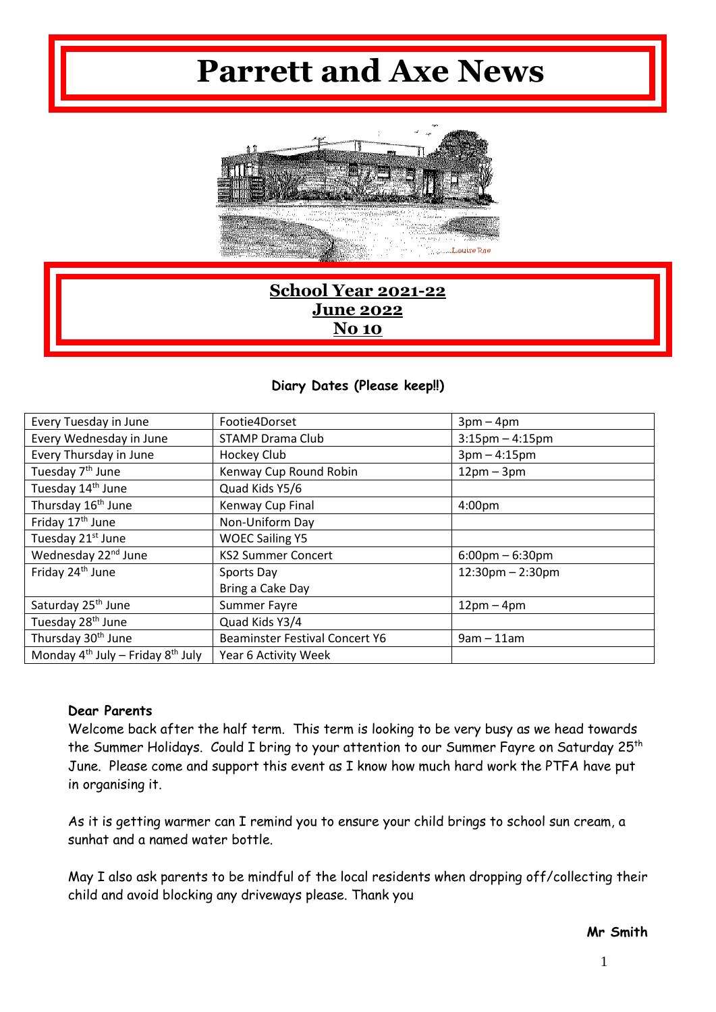# **Parrett and Axe News**



# **School Year 2021-22 June 2022 No 10**

#### **Diary Dates (Please keep!!)**

| Every Tuesday in June                       | Footie4Dorset<br>$3pm-4pm$                                     |                      |
|---------------------------------------------|----------------------------------------------------------------|----------------------|
| Every Wednesday in June                     | <b>STAMP Drama Club</b>                                        | $3:15$ pm $-4:15$ pm |
| Every Thursday in June                      | $3pm - 4:15pm$<br>Hockey Club                                  |                      |
| Tuesday 7 <sup>th</sup> June                | Kenway Cup Round Robin<br>$12pm - 3pm$                         |                      |
| Tuesday 14th June                           | Quad Kids Y5/6                                                 |                      |
| Thursday 16 <sup>th</sup> June              | Kenway Cup Final<br>4:00pm                                     |                      |
| Friday 17 <sup>th</sup> June                | Non-Uniform Day                                                |                      |
| Tuesday 21st June                           | <b>WOEC Sailing Y5</b>                                         |                      |
| Wednesday 22 <sup>nd</sup> June             | <b>KS2 Summer Concert</b><br>$6:00 \text{pm} - 6:30 \text{pm}$ |                      |
| Friday 24 <sup>th</sup> June                | $12:30$ pm $- 2:30$ pm<br>Sports Day                           |                      |
|                                             | Bring a Cake Day                                               |                      |
| Saturday 25 <sup>th</sup> June              | <b>Summer Fayre</b><br>$12pm-4pm$                              |                      |
| Tuesday 28 <sup>th</sup> June               | Quad Kids Y3/4                                                 |                      |
| Thursday 30 <sup>th</sup> June              | <b>Beaminster Festival Concert Y6</b><br>$9am - 11am$          |                      |
| Monday $4^{th}$ July – Friday $8^{th}$ July | Year 6 Activity Week                                           |                      |

#### **Dear Parents**

Welcome back after the half term. This term is looking to be very busy as we head towards the Summer Holidays. Could I bring to your attention to our Summer Fayre on Saturday 25<sup>th</sup> June. Please come and support this event as I know how much hard work the PTFA have put in organising it.

As it is getting warmer can I remind you to ensure your child brings to school sun cream, a sunhat and a named water bottle.

May I also ask parents to be mindful of the local residents when dropping off/collecting their child and avoid blocking any driveways please. Thank you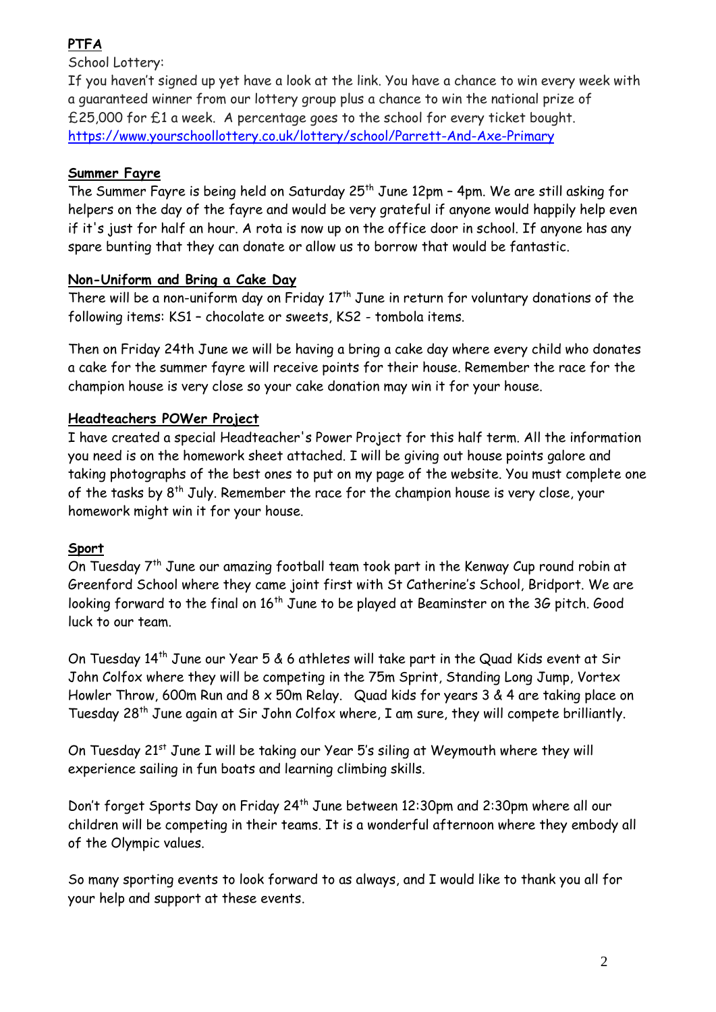# **PTFA**

School Lottery:

If you haven't signed up yet have a look at the link. You have a chance to win every week with a guaranteed winner from our lottery group plus a chance to win the national prize of £25,000 for £1 a week. A percentage goes to the school for every ticket bought. <https://www.yourschoollottery.co.uk/lottery/school/Parrett-And-Axe-Primary>

### **Summer Fayre**

The Summer Fayre is being held on Saturday  $25<sup>th</sup>$  June 12pm - 4pm. We are still asking for helpers on the day of the fayre and would be very grateful if anyone would happily help even if it's just for half an hour. A rota is now up on the office door in school. If anyone has any spare bunting that they can donate or allow us to borrow that would be fantastic.

#### **Non-Uniform and Bring a Cake Day**

There will be a non-uniform day on Friday  $17<sup>th</sup>$  June in return for voluntary donations of the following items: KS1 – chocolate or sweets, KS2 - tombola items.

Then on Friday 24th June we will be having a bring a cake day where every child who donates a cake for the summer fayre will receive points for their house. Remember the race for the champion house is very close so your cake donation may win it for your house.

## **Headteachers POWer Project**

I have created a special Headteacher's Power Project for this half term. All the information you need is on the homework sheet attached. I will be giving out house points galore and taking photographs of the best ones to put on my page of the website. You must complete one of the tasks by  $8^{th}$  July. Remember the race for the champion house is very close, your homework might win it for your house.

#### **Sport**

On Tuesday 7th June our amazing football team took part in the Kenway Cup round robin at Greenford School where they came joint first with St Catherine's School, Bridport. We are looking forward to the final on 16<sup>th</sup> June to be played at Beaminster on the 3G pitch. Good luck to our team.

On Tuesday 14th June our Year 5 & 6 athletes will take part in the Quad Kids event at Sir John Colfox where they will be competing in the 75m Sprint, Standing Long Jump, Vortex Howler Throw, 600m Run and 8 x 50m Relay. Quad kids for years 3 & 4 are taking place on Tuesday 28th June again at Sir John Colfox where, I am sure, they will compete brilliantly.

On Tuesday 21<sup>st</sup> June I will be taking our Year 5's siling at Weymouth where they will experience sailing in fun boats and learning climbing skills.

Don't forget Sports Day on Friday 24<sup>th</sup> June between 12:30pm and 2:30pm where all our children will be competing in their teams. It is a wonderful afternoon where they embody all of the Olympic values.

So many sporting events to look forward to as always, and I would like to thank you all for your help and support at these events.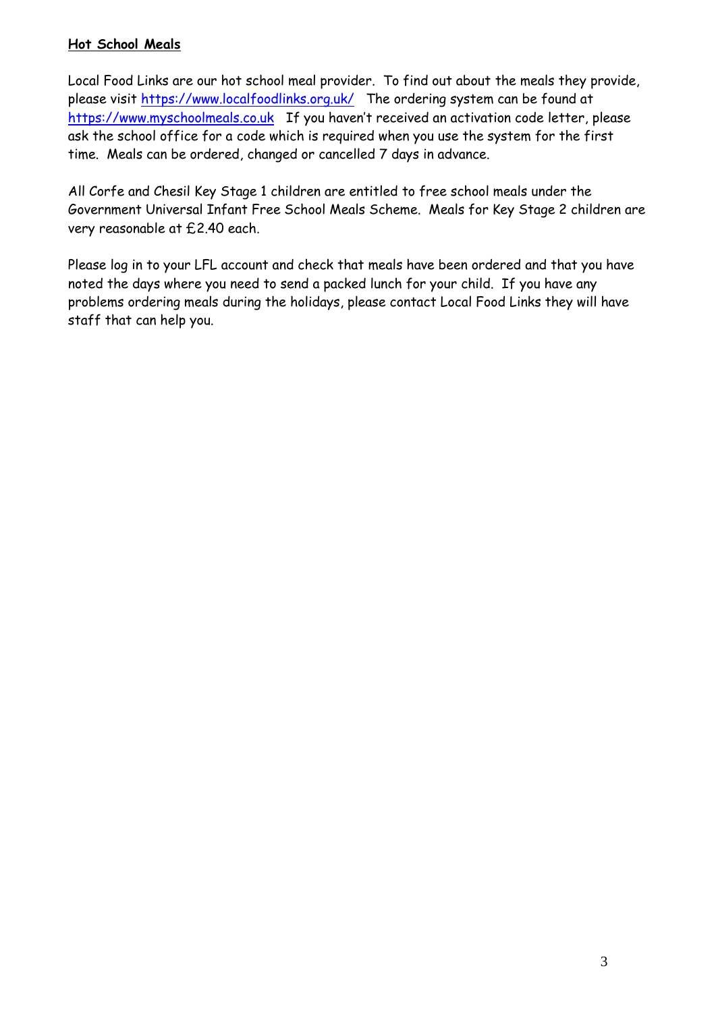#### **Hot School Meals**

Local Food Links are our hot school meal provider. To find out about the meals they provide, please visit<https://www.localfoodlinks.org.uk/>The ordering system can be found at [https://www.myschoolmeals.co.uk](https://www.myschoolmeals.co.uk/) If you haven't received an activation code letter, please ask the school office for a code which is required when you use the system for the first time. Meals can be ordered, changed or cancelled 7 days in advance.

All Corfe and Chesil Key Stage 1 children are entitled to free school meals under the Government Universal Infant Free School Meals Scheme. Meals for Key Stage 2 children are very reasonable at £2.40 each.

Please log in to your LFL account and check that meals have been ordered and that you have noted the days where you need to send a packed lunch for your child. If you have any problems ordering meals during the holidays, please contact Local Food Links they will have staff that can help you.